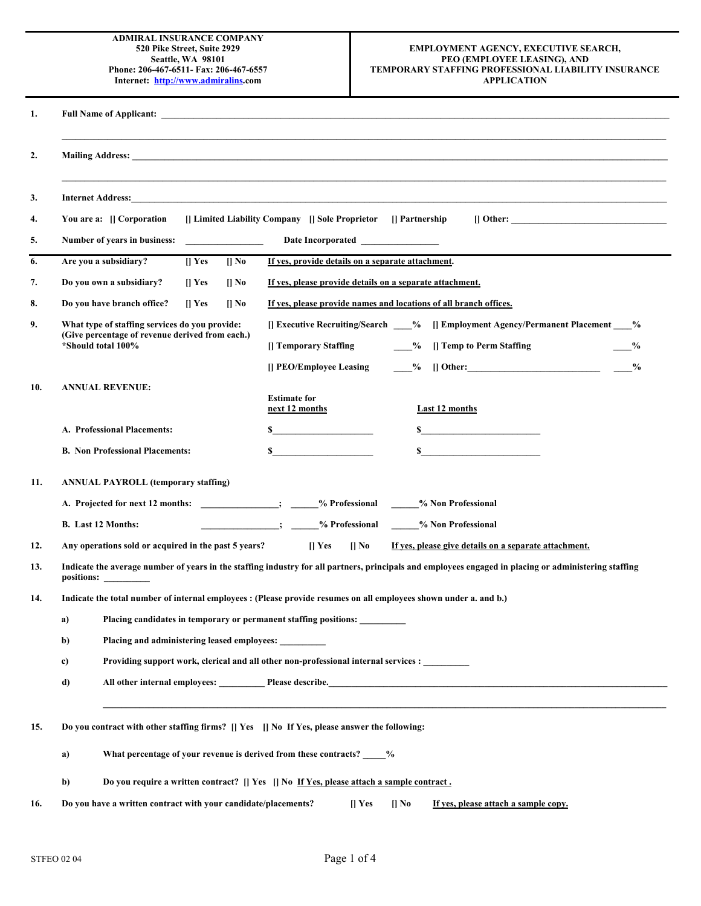**ADMIRAL INSURANCE COMPANY 520 Pike Street, Suite 2929 Seattle, WA 98101 Phone: 206-467-6511- Fax: 206-467-6557 Internet: http://www.admiralins.com**

## **EMPLOYMENT AGENCY, EXECUTIVE SEARCH, PEO (EMPLOYEE LEASING), AND TEMPORARY STAFFING PROFESSIONAL LIABILITY INSURANCE APPLICATION**

| 1.  |                                                                                                                                                                                                                                                                                                                                                                                                                                                                                               |  |  |  |  |  |  |  |  |
|-----|-----------------------------------------------------------------------------------------------------------------------------------------------------------------------------------------------------------------------------------------------------------------------------------------------------------------------------------------------------------------------------------------------------------------------------------------------------------------------------------------------|--|--|--|--|--|--|--|--|
| 2.  |                                                                                                                                                                                                                                                                                                                                                                                                                                                                                               |  |  |  |  |  |  |  |  |
| 3.  |                                                                                                                                                                                                                                                                                                                                                                                                                                                                                               |  |  |  |  |  |  |  |  |
| 4.  | [] Limited Liability Company [] Sole Proprietor [] Partnership<br>You are a: [] Corporation                                                                                                                                                                                                                                                                                                                                                                                                   |  |  |  |  |  |  |  |  |
| 5.  | Number of years in business:<br><u> Alexandria (Carlo Carlo)</u>                                                                                                                                                                                                                                                                                                                                                                                                                              |  |  |  |  |  |  |  |  |
| 6.  | Are you a subsidiary?<br>If yes, provide details on a separate attachment.<br>$\prod$ Yes<br>$\prod$ No                                                                                                                                                                                                                                                                                                                                                                                       |  |  |  |  |  |  |  |  |
| 7.  | Do you own a subsidiary?<br>$\prod$ Yes<br>$\prod$ No<br>If yes, please provide details on a separate attachment.                                                                                                                                                                                                                                                                                                                                                                             |  |  |  |  |  |  |  |  |
| 8.  | Do you have branch office?<br>If yes, please provide names and locations of all branch offices.<br>$\prod$ Yes<br>$\prod$ No                                                                                                                                                                                                                                                                                                                                                                  |  |  |  |  |  |  |  |  |
| 9.  | [] Executive Recruiting/Search ___% [] Employment Agency/Permanent Placement ___%<br>What type of staffing services do you provide:<br>(Give percentage of revenue derived from each.)<br>*Should total 100%<br>[] Temporary Staffing<br>- % [] Temp to Perm Staffing<br>$\frac{0}{2}$                                                                                                                                                                                                        |  |  |  |  |  |  |  |  |
|     |                                                                                                                                                                                                                                                                                                                                                                                                                                                                                               |  |  |  |  |  |  |  |  |
|     | $\frac{1}{2}$ $\frac{1}{2}$ Other:<br>$^{0/0}$<br>[] PEO/Employee Leasing<br><b>ANNUAL REVENUE:</b>                                                                                                                                                                                                                                                                                                                                                                                           |  |  |  |  |  |  |  |  |
| 10. | <b>Estimate for</b><br>next 12 months<br><b>Last 12 months</b>                                                                                                                                                                                                                                                                                                                                                                                                                                |  |  |  |  |  |  |  |  |
|     | $s$ and $s$ and $s$ and $s$ and $s$ and $s$ and $s$ and $s$ and $s$ and $s$ and $s$ and $s$ and $s$ and $s$ and $s$ and $s$ and $s$ and $s$ and $s$ and $s$ and $s$ and $s$ and $s$ and $s$ and $s$ and $s$ and $s$ and $s$ a<br>$s$ and $s$ and $s$ and $s$ and $s$ and $s$ and $s$ and $s$ and $s$ and $s$ and $s$ and $s$ and $s$ and $s$ and $s$ and $s$ and $s$ and $s$ and $s$ and $s$ and $s$ and $s$ and $s$ and $s$ and $s$ and $s$ and $s$ and $s$ a<br>A. Professional Placements: |  |  |  |  |  |  |  |  |
|     | <b>B.</b> Non Professional Placements:<br>$\sim$<br>$\sim$                                                                                                                                                                                                                                                                                                                                                                                                                                    |  |  |  |  |  |  |  |  |
| 11. | <b>ANNUAL PAYROLL (temporary staffing)</b>                                                                                                                                                                                                                                                                                                                                                                                                                                                    |  |  |  |  |  |  |  |  |
|     | A. Projected for next 12 months: _____________; _____% Professional ____% Non Professional                                                                                                                                                                                                                                                                                                                                                                                                    |  |  |  |  |  |  |  |  |
|     | (a) The Second Second Second Second Second Second Second Second Second Second Second Second Second Second Second Second Second Second Second Second Second Second Second Second Second Second Second Second Second Second Seco<br><b>B.</b> Last 12 Months:                                                                                                                                                                                                                                   |  |  |  |  |  |  |  |  |
| 12. | Any operations sold or acquired in the past 5 years?<br>$\prod$ Yes<br>$  $ No<br>If yes, please give details on a separate attachment.                                                                                                                                                                                                                                                                                                                                                       |  |  |  |  |  |  |  |  |
| 13. | Indicate the average number of years in the staffing industry for all partners, principals and employees engaged in placing or administering staffing<br>positions:                                                                                                                                                                                                                                                                                                                           |  |  |  |  |  |  |  |  |
| 14. | Indicate the total number of internal employees : (Please provide resumes on all employees shown under a. and b.)                                                                                                                                                                                                                                                                                                                                                                             |  |  |  |  |  |  |  |  |
|     | Placing candidates in temporary or permanent staffing positions:<br>a)                                                                                                                                                                                                                                                                                                                                                                                                                        |  |  |  |  |  |  |  |  |
|     | Placing and administering leased employees:<br>b)                                                                                                                                                                                                                                                                                                                                                                                                                                             |  |  |  |  |  |  |  |  |
|     | Providing support work, clerical and all other non-professional internal services :<br>c)                                                                                                                                                                                                                                                                                                                                                                                                     |  |  |  |  |  |  |  |  |
| d)  |                                                                                                                                                                                                                                                                                                                                                                                                                                                                                               |  |  |  |  |  |  |  |  |
| 15. | Do you contract with other staffing firms? [] Yes [] No If Yes, please answer the following:                                                                                                                                                                                                                                                                                                                                                                                                  |  |  |  |  |  |  |  |  |
|     | What percentage of your revenue is derived from these contracts? $\frac{9}{6}$<br>a)                                                                                                                                                                                                                                                                                                                                                                                                          |  |  |  |  |  |  |  |  |
|     | b)<br>Do you require a written contract? [] Yes [] No If Yes, please attach a sample contract.                                                                                                                                                                                                                                                                                                                                                                                                |  |  |  |  |  |  |  |  |
| 16. | Do you have a written contract with your candidate/placements?<br>$\parallel$ No<br>If yes, please attach a sample copy.<br>$\parallel$ Yes                                                                                                                                                                                                                                                                                                                                                   |  |  |  |  |  |  |  |  |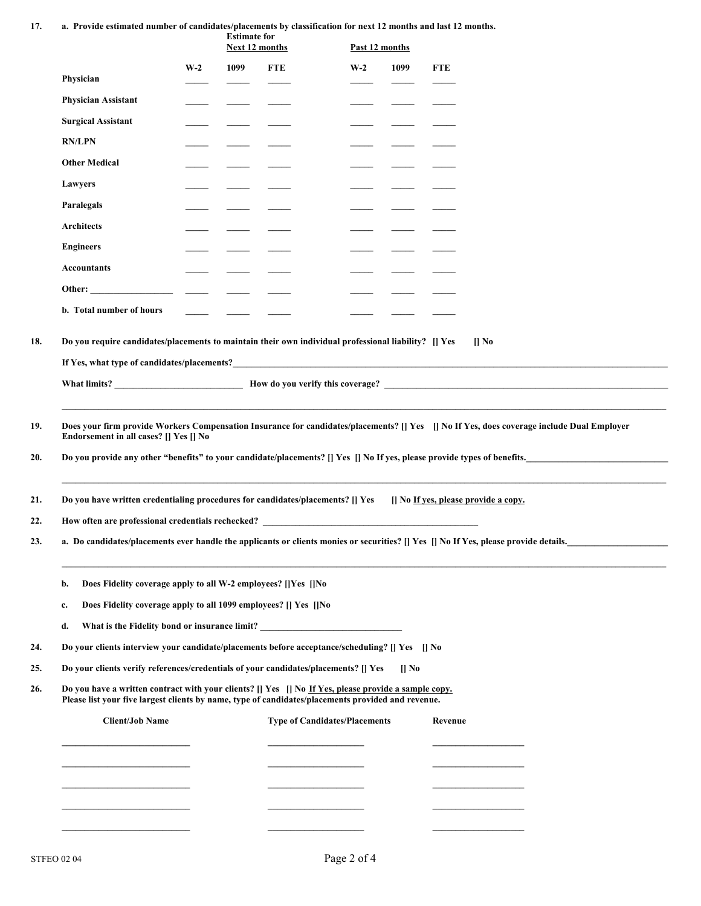| 17. |  | a. Provide estimated number of candidates/placements by classification for next 12 months and last 12 months. |  |  |  |  |  |  |  |
|-----|--|---------------------------------------------------------------------------------------------------------------|--|--|--|--|--|--|--|
|-----|--|---------------------------------------------------------------------------------------------------------------|--|--|--|--|--|--|--|

|                                                                                                                                                                                                                                |       |      | viut estimattu number of canufuates/placements by classification for hext i2 months and fast i2 months,<br><b>Estimate for</b><br><b>Next 12 months</b> |                                      | Past 12 months |            |  |  |  |
|--------------------------------------------------------------------------------------------------------------------------------------------------------------------------------------------------------------------------------|-------|------|---------------------------------------------------------------------------------------------------------------------------------------------------------|--------------------------------------|----------------|------------|--|--|--|
| Physician                                                                                                                                                                                                                      | $W-2$ | 1099 | <b>FTE</b>                                                                                                                                              | $W-2$                                | 1099           | <b>FTE</b> |  |  |  |
| <b>Physician Assistant</b>                                                                                                                                                                                                     |       |      |                                                                                                                                                         |                                      |                |            |  |  |  |
|                                                                                                                                                                                                                                |       |      |                                                                                                                                                         |                                      |                |            |  |  |  |
| <b>Surgical Assistant</b>                                                                                                                                                                                                      |       |      |                                                                                                                                                         |                                      |                |            |  |  |  |
| <b>RN/LPN</b>                                                                                                                                                                                                                  |       |      |                                                                                                                                                         |                                      |                |            |  |  |  |
| <b>Other Medical</b>                                                                                                                                                                                                           |       |      |                                                                                                                                                         |                                      |                |            |  |  |  |
| Lawyers                                                                                                                                                                                                                        |       |      |                                                                                                                                                         |                                      |                |            |  |  |  |
| Paralegals                                                                                                                                                                                                                     |       |      |                                                                                                                                                         |                                      |                |            |  |  |  |
| Architects                                                                                                                                                                                                                     |       |      |                                                                                                                                                         |                                      |                |            |  |  |  |
| <b>Engineers</b>                                                                                                                                                                                                               |       |      |                                                                                                                                                         |                                      |                |            |  |  |  |
| <b>Accountants</b>                                                                                                                                                                                                             |       |      |                                                                                                                                                         |                                      |                |            |  |  |  |
| Other: and the contract of the contract of the contract of the contract of the contract of the contract of the contract of the contract of the contract of the contract of the contract of the contract of the contract of the |       |      |                                                                                                                                                         |                                      |                |            |  |  |  |
| b. Total number of hours                                                                                                                                                                                                       |       |      |                                                                                                                                                         |                                      |                |            |  |  |  |
|                                                                                                                                                                                                                                |       |      |                                                                                                                                                         |                                      |                |            |  |  |  |
| Does your firm provide Workers Compensation Insurance for candidates/placements? [] Yes [] No If Yes, does coverage include Dual Employer<br>Endorsement in all cases? [] Yes [] No                                            |       |      |                                                                                                                                                         |                                      |                |            |  |  |  |
| Do you provide any other "benefits" to your candidate/placements? [] Yes [] No If yes, please provide types of benefits.                                                                                                       |       |      |                                                                                                                                                         |                                      |                |            |  |  |  |
| Do you have written credentialing procedures for candidates/placements? [] Yes [] No If yes, please provide a copy.                                                                                                            |       |      |                                                                                                                                                         |                                      |                |            |  |  |  |
|                                                                                                                                                                                                                                |       |      |                                                                                                                                                         |                                      |                |            |  |  |  |
| a. Do candidates/placements ever handle the applicants or clients monies or securities? [] Yes [] No If Yes, please provide details.                                                                                           |       |      |                                                                                                                                                         |                                      |                |            |  |  |  |
|                                                                                                                                                                                                                                |       |      |                                                                                                                                                         |                                      |                |            |  |  |  |
| Does Fidelity coverage apply to all W-2 employees? [[Yes [[No<br>b.                                                                                                                                                            |       |      |                                                                                                                                                         |                                      |                |            |  |  |  |
| Does Fidelity coverage apply to all 1099 employees? [] Yes []No<br>c.                                                                                                                                                          |       |      |                                                                                                                                                         |                                      |                |            |  |  |  |
| What is the Fidelity bond or insurance limit? ___________________________________<br>d.                                                                                                                                        |       |      |                                                                                                                                                         |                                      |                |            |  |  |  |
| Do your clients interview your candidate/placements before acceptance/scheduling? [] Yes [] No                                                                                                                                 |       |      |                                                                                                                                                         |                                      |                |            |  |  |  |
| Do your clients verify references/credentials of your candidates/placements? [] Yes                                                                                                                                            |       |      |                                                                                                                                                         |                                      | $\prod$ No     |            |  |  |  |
| Do you have a written contract with your clients? [] Yes [] No If Yes, please provide a sample copy.<br>Please list your five largest clients by name, type of candidates/placements provided and revenue.                     |       |      |                                                                                                                                                         |                                      |                |            |  |  |  |
| <b>Client/Job Name</b>                                                                                                                                                                                                         |       |      |                                                                                                                                                         | <b>Type of Candidates/Placements</b> |                | Revenue    |  |  |  |
|                                                                                                                                                                                                                                |       |      |                                                                                                                                                         |                                      |                |            |  |  |  |
|                                                                                                                                                                                                                                |       |      |                                                                                                                                                         |                                      |                |            |  |  |  |
|                                                                                                                                                                                                                                |       |      |                                                                                                                                                         |                                      |                |            |  |  |  |
|                                                                                                                                                                                                                                |       |      |                                                                                                                                                         |                                      |                |            |  |  |  |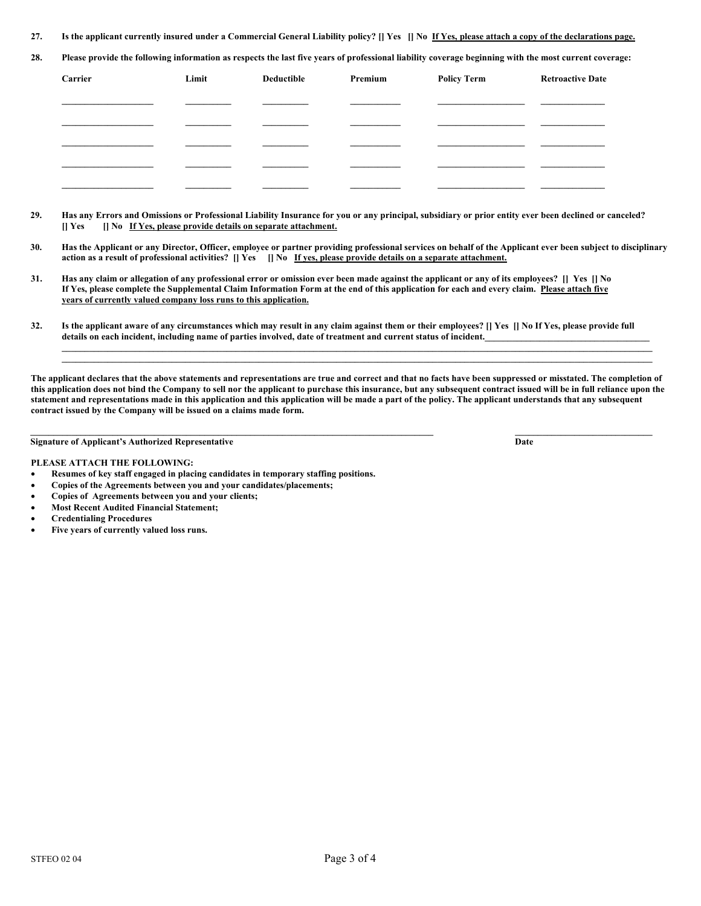**27. Is the applicant currently insured under a Commercial General Liability policy? [] Yes [] No If Yes, please attach a copy of the declarations page.**

**28. Please provide the following information as respects the last five years of professional liability coverage beginning with the most current coverage:**

| Carrier | Limit | Deductible | Premium | <b>Policy Term</b> | <b>Retroactive Date</b> |
|---------|-------|------------|---------|--------------------|-------------------------|
|         |       |            |         |                    |                         |
|         |       |            |         |                    |                         |
|         |       |            |         |                    |                         |
|         |       |            |         |                    |                         |
|         |       |            |         |                    |                         |

- **29. Has any Errors and Omissions or Professional Liability Insurance for you or any principal, subsidiary or prior entity ever been declined or canceled? [] Yes [] No If Yes, please provide details on separate attachment.**
- **30. Has the Applicant or any Director, Officer, employee or partner providing professional services on behalf of the Applicant ever been subject to disciplinary** action as a result of professional activities? [] Yes [] No If yes, please provide details on a separate attachment.
- **31. Has any claim or allegation of any professional error or omission ever been made against the applicant or any of its employees? [] Yes [] No If Yes, please complete the Supplemental Claim Information Form at the end of this application for each and every claim. Please attach five years of currently valued company loss runs to this application.**
- **32. Is the applicant aware of any circumstances which may result in any claim against them or their employees? [] Yes [] No If Yes, please provide full** details on each incident, including name of parties involved, date of treatment and current status of incident.

**The applicant declares that the above statements and representations are true and correct and that no facts have been suppressed or misstated. The completion of this application does not bind the Company to sell nor the applicant to purchase this insurance, but any subsequent contract issued will be in full reliance upon the statement and representations made in this application and this application will be made a part of the policy. The applicant understands that any subsequent contract issued by the Company will be issued on a claims made form.**

**\_\_\_\_\_\_\_\_\_\_\_\_\_\_\_\_\_\_\_\_\_\_\_\_\_\_\_\_\_\_\_\_\_\_\_\_\_\_\_\_\_\_\_\_\_\_\_\_\_\_\_\_\_\_\_\_\_\_\_\_\_\_\_\_\_\_\_\_\_\_\_\_\_\_\_\_\_\_\_\_\_\_\_\_\_\_\_\_\_\_\_\_\_\_\_\_\_\_\_\_\_\_\_\_\_\_\_\_\_\_\_\_\_\_\_\_\_\_\_\_\_\_\_\_\_\_\_\_\_**  $\mathcal{L} = \{ \mathcal{L} = \{ \mathcal{L} = \{ \mathcal{L} = \{ \mathcal{L} = \{ \mathcal{L} = \{ \mathcal{L} = \{ \mathcal{L} = \{ \mathcal{L} = \{ \mathcal{L} = \{ \mathcal{L} = \{ \mathcal{L} = \{ \mathcal{L} = \{ \mathcal{L} = \{ \mathcal{L} = \{ \mathcal{L} = \{ \mathcal{L} = \{ \mathcal{L} = \{ \mathcal{L} = \{ \mathcal{L} = \{ \mathcal{L} = \{ \mathcal{L} = \{ \mathcal{L} = \{ \mathcal{L} = \{ \mathcal{$ 

## **Signature of Applicant's Authorized Representative Date**

**\_\_\_\_\_\_\_\_\_\_\_\_\_\_\_\_\_\_\_\_\_\_\_\_\_\_\_\_\_\_\_\_\_\_\_\_\_\_\_\_\_\_\_\_\_\_\_\_\_\_\_\_\_\_\_\_\_\_\_\_\_\_\_\_\_\_\_\_\_\_\_\_\_\_\_\_\_\_\_\_\_\_\_\_\_\_\_\_ \_\_\_\_\_\_\_\_\_\_\_\_\_\_\_\_\_\_\_\_\_\_\_\_\_\_\_\_\_\_**

**PLEASE ATTACH THE FOLLOWING:**

- **Resumes of key staff engaged in placing candidates in temporary staffing positions.**
- **Copies of the Agreements between you and your candidates/placements;**
- **Copies of Agreements between you and your clients;**
- **Most Recent Audited Financial Statement;**
- **Credentialing Procedures**
- **Five years of currently valued loss runs.**